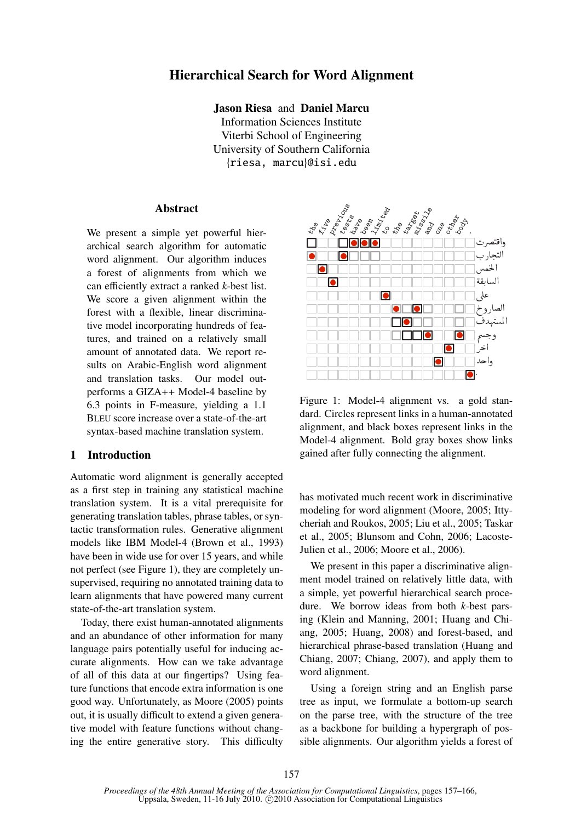# Hierarchical Search for Word Alignment

Jason Riesa and Daniel Marcu

Information Sciences Institute Viterbi School of Engineering University of Southern California {riesa, marcu}@isi.edu

### Abstract

We present a simple yet powerful hierarchical search algorithm for automatic word alignment. Our algorithm induces a forest of alignments from which we can efficiently extract a ranked *k*-best list. We score a given alignment within the forest with a flexible, linear discriminative model incorporating hundreds of features, and trained on a relatively small amount of annotated data. We report results on Arabic-English word alignment and translation tasks. Our model outperforms a GIZA++ Model-4 baseline by <sup>6</sup>.3 points in F-measure, yielding a 1.1 BLEU score increase over a state-of-the-art syntax-based machine translation system.

# 1 Introduction

Automatic word alignment is generally accepted as a first step in training any statistical machine translation system. It is a vital prerequisite for generating translation tables, phrase tables, or syntactic transformation rules. Generative alignment models like IBM Model-4 (Brown et al., 1993) have been in wide use for over 15 years, and while not perfect (see Figure 1), they are completely unsupervised, requiring no annotated training data to learn alignments that have powered many current state-of-the-art translation system.

Today, there exist human-annotated alignments and an abundance of other information for many language pairs potentially useful for inducing accurate alignments. How can we take advantage of all of this data at our fingertips? Using feature functions that encode extra information is one good way. Unfortunately, as Moore (2005) points out, it is usually difficult to extend a given generative model with feature functions without changing the entire generative story. This difficulty



Figure 1: Model-4 alignment vs. a gold standard. Circles represent links in a human-annotated alignment, and black boxes represent links in the Model-4 alignment. Bold gray boxes show links gained after fully connecting the alignment.

has motivated much recent work in discriminative modeling for word alignment (Moore, 2005; Ittycheriah and Roukos, 2005; Liu et al., 2005; Taskar et al., 2005; Blunsom and Cohn, 2006; Lacoste-Julien et al., 2006; Moore et al., 2006).

We present in this paper a discriminative alignment model trained on relatively little data, with a simple, yet powerful hierarchical search procedure. We borrow ideas from both *k*-best parsing (Klein and Manning, 2001; Huang and Chiang, 2005; Huang, 2008) and forest-based, and hierarchical phrase-based translation (Huang and Chiang, 2007; Chiang, 2007), and apply them to word alignment.

Using a foreign string and an English parse tree as input, we formulate a bottom-up search on the parse tree, with the structure of the tree as a backbone for building a hypergraph of possible alignments. Our algorithm yields a forest of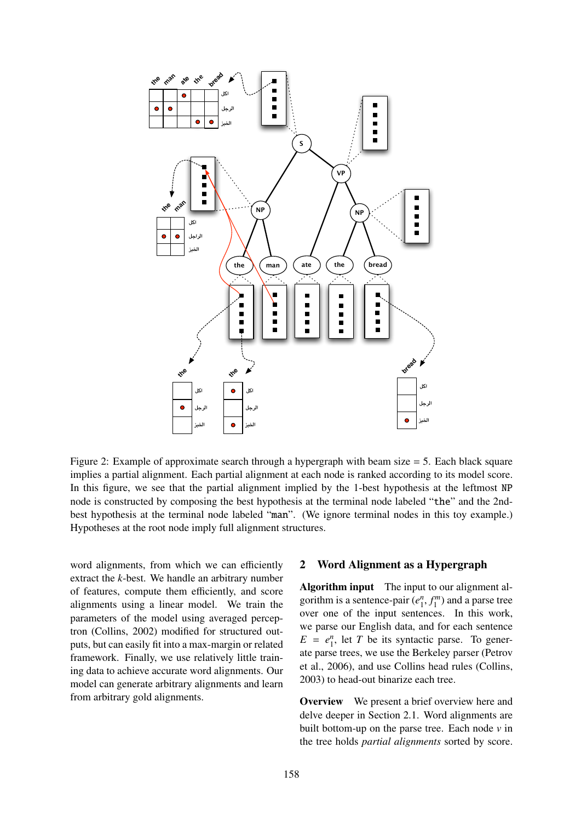

Figure 2: Example of approximate search through a hypergraph with beam size  $=$  5. Each black square implies a partial alignment. Each partial alignment at each node is ranked according to its model score. In this figure, we see that the partial alignment implied by the 1-best hypothesis at the leftmost NP node is constructed by composing the best hypothesis at the terminal node labeled "the" and the 2ndbest hypothesis at the terminal node labeled "man". (We ignore terminal nodes in this toy example.) Hypotheses at the root node imply full alignment structures.

word alignments, from which we can efficiently extract the *k*-best. We handle an arbitrary number of features, compute them efficiently, and score alignments using a linear model. We train the parameters of the model using averaged perceptron (Collins, 2002) modified for structured outputs, but can easily fit into a max-margin or related framework. Finally, we use relatively little training data to achieve accurate word alignments. Our model can generate arbitrary alignments and learn from arbitrary gold alignments.

### 2 Word Alignment as a Hypergraph

Algorithm input The input to our alignment algorithm is a sentence-pair  $(e_1^n, f_1^m)$  and a parse tree<br>over one of the input sentences. In this work over one of the input sentences. In this work, we parse our English data, and for each sentence  $E = e_1^n$ , let *T* be its syntactic parse. To generate parse trees, we use the Berkeley parser (Petrov et al., 2006), and use Collins head rules (Collins, 2003) to head-out binarize each tree.

Overview We present a brief overview here and delve deeper in Section 2.1. Word alignments are built bottom-up on the parse tree. Each node *v* in the tree holds *partial alignments* sorted by score.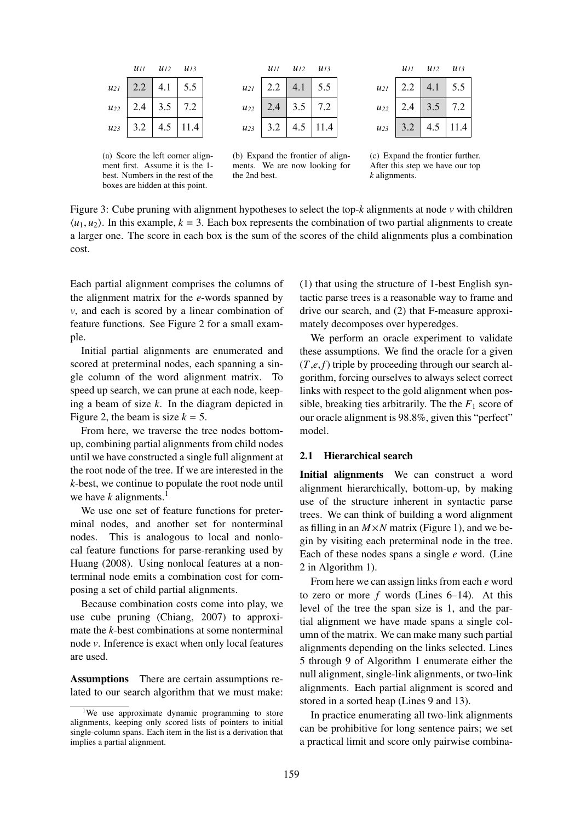|          | $\frac{u_{II}}{u_{II}}$ | $\frac{u_{12}}{2}$ | $u_{13}$ |
|----------|-------------------------|--------------------|----------|
| $u_{2l}$ | 2.2                     | 4.1                | 5.5      |
| $u_{22}$ | 2.4                     | 3.5                | 7.2      |
| $u_{23}$ | 3.2                     | 4.5                | 11.4     |

(a) Score the left corner alignment first. Assume it is the 1 best. Numbers in the rest of the boxes are hidden at this point.

|          | $\frac{u_{II}}{u_{II}}$ | $\frac{\mathcal{U}}{\mathcal{U}}$ | $u_{13}$ |
|----------|-------------------------|-----------------------------------|----------|
| $u_{2l}$ | 2.2                     | 4.1                               | 5.5      |
| $u_{22}$ | 2.4                     | 3.5                               | 7.2      |
| $u_{23}$ | 3.2                     | 4.5                               | 11.4     |

(b) Expand the frontier of alignments. We are now looking for the 2nd best.

|          | $\frac{u_{II}}{v_{II}}$ | $u_{12}$ | $u_{13}$ |
|----------|-------------------------|----------|----------|
| $u_{2l}$ | 2.2                     | 4.1      | 5.5      |
| $u_{22}$ | 2.4                     | 3.5      | 7.2      |
| $u_{23}$ | 3.2                     | 4.5      | .4       |

(c) Expand the frontier further. After this step we have our top *k* alignments.

Figure 3: Cube pruning with alignment hypotheses to select the top-*k* alignments at node *v* with children  $\langle u_1, u_2 \rangle$ . In this example,  $k = 3$ . Each box represents the combination of two partial alignments to create a larger one. The score in each box is the sum of the scores of the child alignments plus a combination cost.

Each partial alignment comprises the columns of the alignment matrix for the *e*-words spanned by *v*, and each is scored by a linear combination of feature functions. See Figure 2 for a small example.

Initial partial alignments are enumerated and scored at preterminal nodes, each spanning a single column of the word alignment matrix. To speed up search, we can prune at each node, keeping a beam of size *k*. In the diagram depicted in Figure 2, the beam is size  $k = 5$ .

From here, we traverse the tree nodes bottomup, combining partial alignments from child nodes until we have constructed a single full alignment at the root node of the tree. If we are interested in the *k*-best, we continue to populate the root node until we have  $k$  alignments.<sup>1</sup>

We use one set of feature functions for preterminal nodes, and another set for nonterminal nodes. This is analogous to local and nonlocal feature functions for parse-reranking used by Huang (2008). Using nonlocal features at a nonterminal node emits a combination cost for composing a set of child partial alignments.

Because combination costs come into play, we use cube pruning (Chiang, 2007) to approximate the *k*-best combinations at some nonterminal node *v*. Inference is exact when only local features are used.

Assumptions There are certain assumptions related to our search algorithm that we must make: (1) that using the structure of 1-best English syntactic parse trees is a reasonable way to frame and drive our search, and (2) that F-measure approximately decomposes over hyperedges.

We perform an oracle experiment to validate these assumptions. We find the oracle for a given (*T*,*e*, *f*) triple by proceeding through our search algorithm, forcing ourselves to always select correct links with respect to the gold alignment when possible, breaking ties arbitrarily. The the  $F_1$  score of our oracle alignment is 98.8%, given this "perfect" model.

#### 2.1 Hierarchical search

Initial alignments We can construct a word alignment hierarchically, bottom-up, by making use of the structure inherent in syntactic parse trees. We can think of building a word alignment as filling in an  $M \times N$  matrix (Figure 1), and we begin by visiting each preterminal node in the tree. Each of these nodes spans a single *e* word. (Line 2 in Algorithm 1).

From here we can assign links from each *e* word to zero or more *f* words (Lines 6–14). At this level of the tree the span size is 1, and the partial alignment we have made spans a single column of the matrix. We can make many such partial alignments depending on the links selected. Lines 5 through 9 of Algorithm 1 enumerate either the null alignment, single-link alignments, or two-link alignments. Each partial alignment is scored and stored in a sorted heap (Lines 9 and 13).

In practice enumerating all two-link alignments can be prohibitive for long sentence pairs; we set a practical limit and score only pairwise combina-

<sup>&</sup>lt;sup>1</sup>We use approximate dynamic programming to store alignments, keeping only scored lists of pointers to initial single-column spans. Each item in the list is a derivation that implies a partial alignment.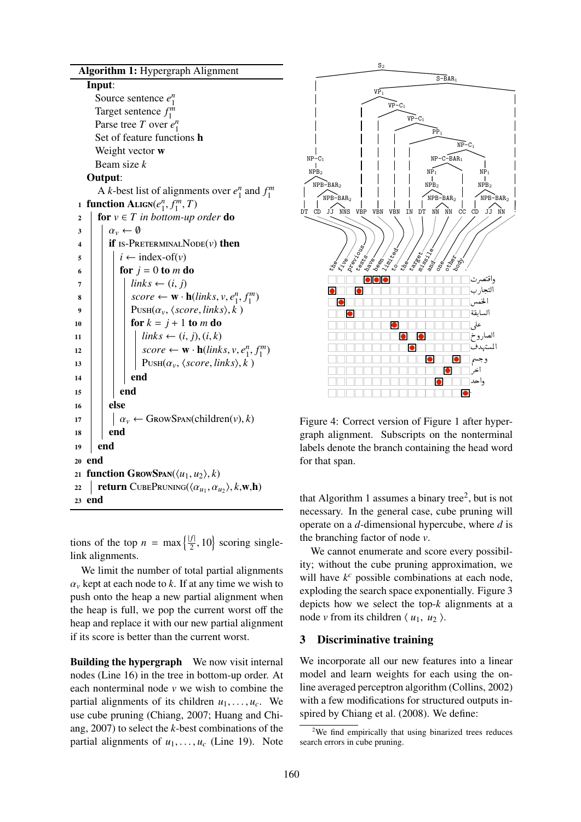| Algorithm 1: Hypergraph Alignment                                                                                                     |
|---------------------------------------------------------------------------------------------------------------------------------------|
| Input:                                                                                                                                |
| Source sentence $e_1^n$                                                                                                               |
| Target sentence $f_1^m$                                                                                                               |
| Parse tree T over $e_1^n$                                                                                                             |
| Set of feature functions h                                                                                                            |
| Weight vector w                                                                                                                       |
| Beam size k                                                                                                                           |
| Output:                                                                                                                               |
| A k-best list of alignments over $e_1^n$ and $f_1^m$                                                                                  |
| <b>function</b> ALIGN( $e_1^n, f_1^m, T$ )<br>1                                                                                       |
| for $v \in T$ in bottom-up order do<br>$\mathbf{c}$                                                                                   |
| $\alpha_v \leftarrow \emptyset$<br>3                                                                                                  |
| <b>if</b> IS-PRETERMINAL NODE( $\nu$ ) then<br>4                                                                                      |
| $i \leftarrow \text{index-of}(v)$<br>5                                                                                                |
| for $j = 0$ to m do<br>6                                                                                                              |
| $links \leftarrow (i, j)$<br>7                                                                                                        |
| score $\leftarrow \mathbf{w} \cdot \mathbf{h}(links, v, e_1^n, f_1^m)$<br>8                                                           |
| $P^{-}$ USH $(\alpha_{v}, \langle score, links \rangle, k)$<br>9                                                                      |
| for $k = j + 1$ to m do<br>10                                                                                                         |
| $links \leftarrow (i, j), (i, k)$<br>11                                                                                               |
| 12                                                                                                                                    |
| score ← <b>w</b> · <b>h</b> (links, <i>v</i> , $e_1^n$ , $f_1^m$ )<br>P∪sH( $\alpha_v$ , $\langle score, links \rangle$ , $k$ )<br>13 |
| end<br>14                                                                                                                             |
| end<br>15                                                                                                                             |
| else<br>16                                                                                                                            |
| $\alpha_{\nu} \leftarrow$ GrowSpan(children(v), k)<br>17                                                                              |
| end<br>18                                                                                                                             |
| end<br>19                                                                                                                             |
| end<br>20                                                                                                                             |
| function GROWSPAN( $\langle u_1, u_2 \rangle$ , k)<br>21                                                                              |
| <b>return</b> CUBEPRUNING( $\langle \alpha_{u_1}, \alpha_{u_2} \rangle$ , k, <b>w</b> ,h)<br>22                                       |
| end<br>23                                                                                                                             |
|                                                                                                                                       |

tions of the top  $n = \max\left\{\frac{|f|}{2}\right\}$  $\left\{ \frac{f}{2}, 10 \right\}$  scoring singlelink alignments.

We limit the number of total partial alignments  $\alpha$ <sup>*v*</sup> kept at each node to *k*. If at any time we wish to push onto the heap a new partial alignment when the heap is full, we pop the current worst off the heap and replace it with our new partial alignment if its score is better than the current worst.

Building the hypergraph We now visit internal nodes (Line 16) in the tree in bottom-up order. At each nonterminal node *v* we wish to combine the partial alignments of its children  $u_1, \ldots, u_c$ . We use cube pruning (Chiang, 2007; Huang and Chiang, 2007) to select the *k*-best combinations of the partial alignments of  $u_1, \ldots, u_c$  (Line 19). Note



Figure 4: Correct version of Figure 1 after hypergraph alignment. Subscripts on the nonterminal labels denote the branch containing the head word for that span.

that Algorithm 1 assumes a binary tree<sup>2</sup>, but is not necessary. In the general case, cube pruning will operate on a *d*-dimensional hypercube, where *d* is the branching factor of node *v*.

We cannot enumerate and score every possibility; without the cube pruning approximation, we will have  $k^c$  possible combinations at each node, exploding the search space exponentially. Figure 3 depicts how we select the top-*k* alignments at a node *v* from its children  $\langle u_1, u_2 \rangle$ .

# 3 Discriminative training

We incorporate all our new features into a linear model and learn weights for each using the online averaged perceptron algorithm (Collins, 2002) with a few modifications for structured outputs inspired by Chiang et al. (2008). We define:

<sup>&</sup>lt;sup>2</sup>We find empirically that using binarized trees reduces search errors in cube pruning.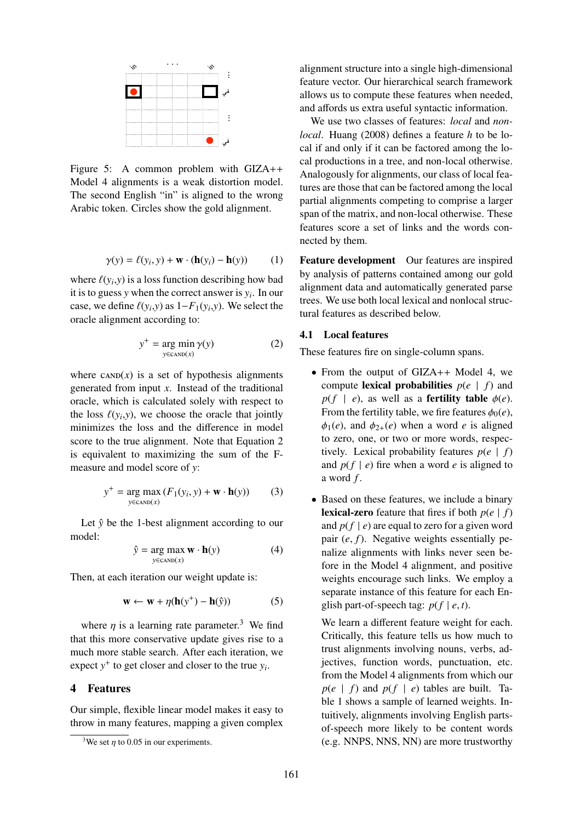

Figure 5: A common problem with GIZA++ Model 4 alignments is a weak distortion model. The second English "in" is aligned to the wrong Arabic token. Circles show the gold alignment.

$$
\gamma(y) = \ell(y_i, y) + \mathbf{w} \cdot (\mathbf{h}(y_i) - \mathbf{h}(y)) \tag{1}
$$

where  $\ell(y_i, y)$  is a loss function describing how bad<br>it is to guess y when the correct answer is y. In our it is to guess  $y$  when the correct answer is  $y_i$ . In our case, we define  $\ell(y_i, y)$  as  $1 - F_1(y_i, y)$ . We select the oracle alignment according to:

$$
y^{+} = \underset{y \in \text{CAND}(x)}{\arg \min} \gamma(y) \tag{2}
$$

where  $CAND(x)$  is a set of hypothesis alignments generated from input *x*. Instead of the traditional oracle, which is calculated solely with respect to the loss  $\ell(y_i, y)$ , we choose the oracle that jointly<br>minimizes the loss and the difference in model minimizes the loss and the difference in model score to the true alignment. Note that Equation 2 is equivalent to maximizing the sum of the Fmeasure and model score of *y*:

$$
y^{+} = \underset{y \in \text{cAND}(x)}{\arg \max} (F_1(y_i, y) + \mathbf{w} \cdot \mathbf{h}(y)) \tag{3}
$$

Let  $\hat{y}$  be the 1-best alignment according to our model:

$$
\hat{y} = \underset{y \in \text{cAND}(x)}{\arg \max} \mathbf{w} \cdot \mathbf{h}(y) \tag{4}
$$

Then, at each iteration our weight update is:

$$
\mathbf{w} \leftarrow \mathbf{w} + \eta(\mathbf{h}(y^+) - \mathbf{h}(\hat{y})) \tag{5}
$$

where *n* is a learning rate parameter.<sup>3</sup> We find that this more conservative update gives rise to a much more stable search. After each iteration, we expect  $y^+$  to get closer and closer to the true  $y_i$ .

# 4 Features

Our simple, flexible linear model makes it easy to throw in many features, mapping a given complex

alignment structure into a single high-dimensional feature vector. Our hierarchical search framework allows us to compute these features when needed, and affords us extra useful syntactic information.

We use two classes of features: *local* and *nonlocal*. Huang (2008) defines a feature *h* to be local if and only if it can be factored among the local productions in a tree, and non-local otherwise. Analogously for alignments, our class of local features are those that can be factored among the local partial alignments competing to comprise a larger span of the matrix, and non-local otherwise. These features score a set of links and the words connected by them.

Feature development Our features are inspired by analysis of patterns contained among our gold alignment data and automatically generated parse trees. We use both local lexical and nonlocal structural features as described below.

#### 4.1 Local features

These features fire on single-column spans.

- From the output of GIZA++ Model 4, we compute **lexical probabilities**  $p(e | f)$  and  $p(f \mid e)$ , as well as a **fertility table**  $\phi(e)$ . From the fertility table, we fire features  $\phi_0(e)$ ,  $\phi_1(e)$ , and  $\phi_{2+}(e)$  when a word *e* is aligned to zero, one, or two or more words, respectively. Lexical probability features  $p(e | f)$ and  $p(f \mid e)$  fire when a word *e* is aligned to a word *f* .
- Based on these features, we include a binary **lexical-zero** feature that fires if both  $p(e | f)$ and  $p(f | e)$  are equal to zero for a given word pair (*e*, *<sup>f</sup>*). Negative weights essentially penalize alignments with links never seen before in the Model 4 alignment, and positive weights encourage such links. We employ a separate instance of this feature for each English part-of-speech tag:  $p(f | e, t)$ .

We learn a different feature weight for each. Critically, this feature tells us how much to trust alignments involving nouns, verbs, adjectives, function words, punctuation, etc. from the Model 4 alignments from which our  $p(e | f)$  and  $p(f | e)$  tables are built. Table 1 shows a sample of learned weights. Intuitively, alignments involving English partsof-speech more likely to be content words (e.g. NNPS, NNS, NN) are more trustworthy

<sup>&</sup>lt;sup>3</sup>We set  $\eta$  to 0.05 in our experiments.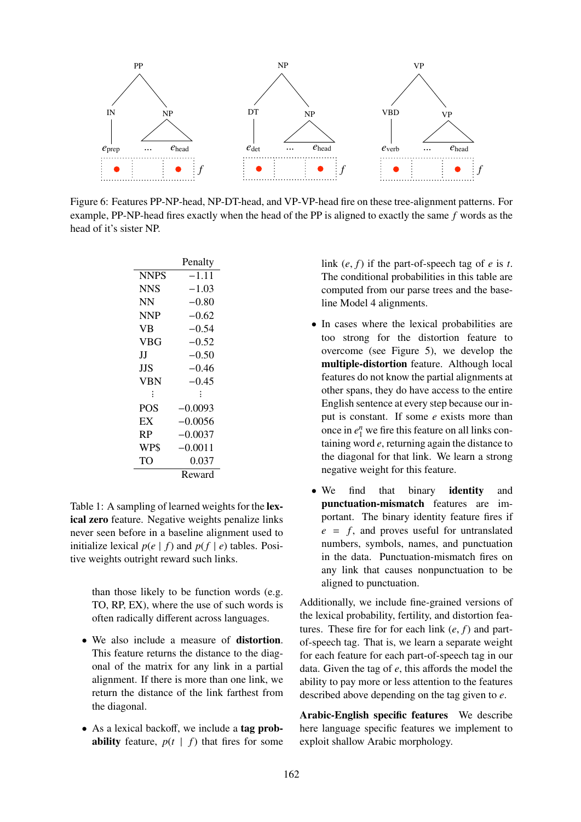

Figure 6: Features PP-NP-head, NP-DT-head, and VP-VP-head fire on these tree-alignment patterns. For example, PP-NP-head fires exactly when the head of the PP is aligned to exactly the same *f* words as the head of it's sister NP.

|             | Penalty   |  |
|-------------|-----------|--|
| <b>NNPS</b> | –1 11     |  |
| <b>NNS</b>  | $-1.03$   |  |
| NN          | $-0.80$   |  |
| <b>NNP</b>  | $-0.62$   |  |
| VB          | $-0.54$   |  |
| VBG         | $-0.52$   |  |
| Н           | $-0.50$   |  |
| ЛS          | -0.46     |  |
| VBN         | $-0.45$   |  |
| ፡           | ÷         |  |
| POS         | $-0.0093$ |  |
| EX          | -0.0056   |  |
| <b>RP</b>   | $-0.0037$ |  |
| WP\$        | $-0.0011$ |  |
| TO          | 0.037     |  |
|             | Reward    |  |

Table 1: A sampling of learned weights for the lexical zero feature. Negative weights penalize links never seen before in a baseline alignment used to initialize lexical  $p(e | f)$  and  $p(f | e)$  tables. Positive weights outright reward such links.

> than those likely to be function words (e.g. TO, RP, EX), where the use of such words is often radically different across languages.

- We also include a measure of **distortion**. This feature returns the distance to the diagonal of the matrix for any link in a partial alignment. If there is more than one link, we return the distance of the link farthest from the diagonal.
- As a lexical backoff, we include a tag prob**ability** feature,  $p(t | f)$  that fires for some

link  $(e, f)$  if the part-of-speech tag of  $e$  is  $t$ . The conditional probabilities in this table are computed from our parse trees and the baseline Model 4 alignments.

- In cases where the lexical probabilities are too strong for the distortion feature to overcome (see Figure 5), we develop the multiple-distortion feature. Although local features do not know the partial alignments at other spans, they do have access to the entire English sentence at every step because our input is constant. If some *e* exists more than once in  $e_1^n$  we fire this feature on all links containing word *e*, returning again the distance to the diagonal for that link. We learn a strong negative weight for this feature.
- We find that binary **identity** and punctuation-mismatch features are important. The binary identity feature fires if  $e = f$ , and proves useful for untranslated numbers, symbols, names, and punctuation in the data. Punctuation-mismatch fires on any link that causes nonpunctuation to be aligned to punctuation.

Additionally, we include fine-grained versions of the lexical probability, fertility, and distortion features. These fire for for each link (*e*, *<sup>f</sup>*) and partof-speech tag. That is, we learn a separate weight for each feature for each part-of-speech tag in our data. Given the tag of *e*, this affords the model the ability to pay more or less attention to the features described above depending on the tag given to *e*.

Arabic-English specific features We describe here language specific features we implement to exploit shallow Arabic morphology.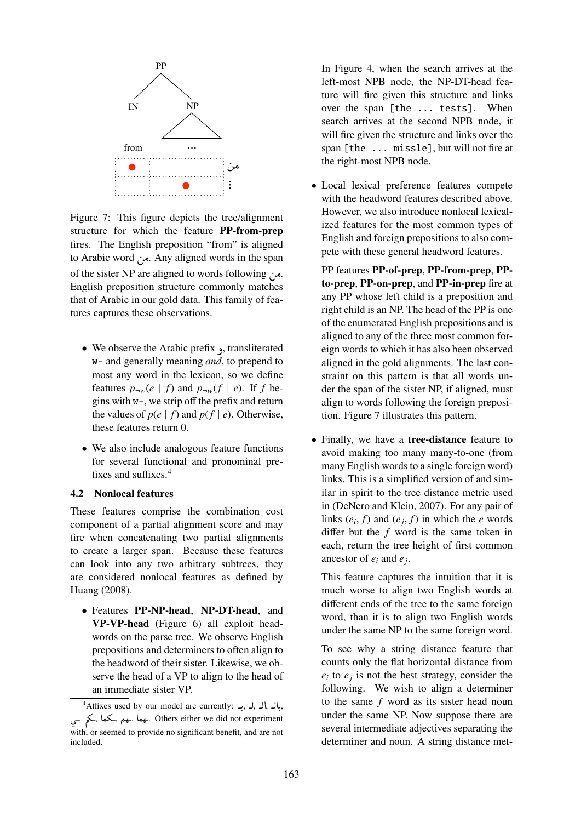

Figure 7: This figure depicts the tree/alignment structure for which the feature PP-from-prep fires. The English preposition "from" is aligned to Arabic word من. Any aligned words in the span of the sister NP are aligned to words following ... English preposition structure commonly matches that of Arabic in our gold data. This family of features captures these observations.

- We observe the Arabic prefix , transliterated w- and generally meaning *and*, to prepend to most any word in the lexicon, so we define features  $p_{\neg w}(e \mid f)$  and  $p_{\neg w}(f \mid e)$ . If *f* begins with w-, we strip off the prefix and return the values of  $p(e | f)$  and  $p(f | e)$ . Otherwise, these features return 0.
- We also include analogous feature functions for several functional and pronominal prefixes and suffixes.<sup>4</sup>

#### 4.2 Nonlocal features

These features comprise the combination cost component of a partial alignment score and may fire when concatenating two partial alignments to create a larger span. Because these features can look into any two arbitrary subtrees, they are considered nonlocal features as defined by Huang (2008).

• Features PP-NP-head, NP-DT-head, and VP-VP-head (Figure 6) all exploit headwords on the parse tree. We observe English prepositions and determiners to often align to the headword of their sister. Likewise, we observe the head of a VP to align to the head of an immediate sister VP.

In Figure 4, when the search arrives at the left-most NPB node, the NP-DT-head feature will fire given this structure and links over the span [the ... tests]. When search arrives at the second NPB node, it will fire given the structure and links over the span [the ... missle], but will not fire at the right-most NPB node.

• Local lexical preference features compete with the headword features described above. However, we also introduce nonlocal lexicalized features for the most common types of English and foreign prepositions to also compete with these general headword features.

PP features PP-of-prep, PP-from-prep, PPto-prep, PP-on-prep, and PP-in-prep fire at any PP whose left child is a preposition and right child is an NP. The head of the PP is one of the enumerated English prepositions and is aligned to any of the three most common foreign words to which it has also been observed aligned in the gold alignments. The last constraint on this pattern is that all words under the span of the sister NP, if aligned, must align to words following the foreign preposition. Figure 7 illustrates this pattern.

• Finally, we have a **tree-distance** feature to avoid making too many many-to-one (from many English words to a single foreign word) links. This is a simplified version of and similar in spirit to the tree distance metric used in (DeNero and Klein, 2007). For any pair of links  $(e_i, f)$  and  $(e_j, f)$  in which the *e* words<br>differ but the *f* word is the same token in differ but the *f* word is the same token in each, return the tree height of first common ancestor of *e<sup>i</sup>* and *e<sup>j</sup>* .

This feature captures the intuition that it is much worse to align two English words at different ends of the tree to the same foreign word, than it is to align two English words under the same NP to the same foreign word.

To see why a string distance feature that counts only the flat horizontal distance from  $e_i$  to  $e_j$  is not the best strategy, consider the following. We wish to align a determiner to the same *f* word as its sister head noun under the same NP. Now suppose there are several intermediate adjectives separating the determiner and noun. A string distance met-

 $4$ Affixes used by our model are currently: بال ,ال , بال , . . بهم ,کما ,کم ,ڪيم .ڪما ,ڪيم ,ڪيم ,ڪيم ,ڪيم ,ڪيم ,ڪيم ,ڪيم , with, or seemed to provide no significant benefit, and are not included.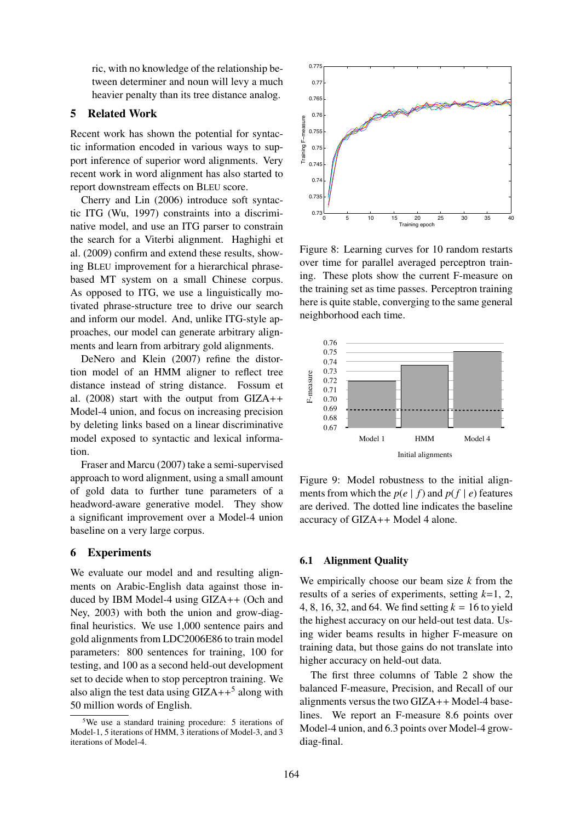ric, with no knowledge of the relationship between determiner and noun will levy a much heavier penalty than its tree distance analog.

# 5 Related Work

Recent work has shown the potential for syntactic information encoded in various ways to support inference of superior word alignments. Very recent work in word alignment has also started to report downstream effects on BLEU score.

Cherry and Lin (2006) introduce soft syntactic ITG (Wu, 1997) constraints into a discriminative model, and use an ITG parser to constrain the search for a Viterbi alignment. Haghighi et al. (2009) confirm and extend these results, showing BLEU improvement for a hierarchical phrasebased MT system on a small Chinese corpus. As opposed to ITG, we use a linguistically motivated phrase-structure tree to drive our search and inform our model. And, unlike ITG-style approaches, our model can generate arbitrary alignments and learn from arbitrary gold alignments.

DeNero and Klein (2007) refine the distortion model of an HMM aligner to reflect tree distance instead of string distance. Fossum et al. (2008) start with the output from GIZA++ Model-4 union, and focus on increasing precision by deleting links based on a linear discriminative model exposed to syntactic and lexical information.

Fraser and Marcu (2007) take a semi-supervised approach to word alignment, using a small amount of gold data to further tune parameters of a headword-aware generative model. They show a significant improvement over a Model-4 union baseline on a very large corpus.

#### 6 Experiments

We evaluate our model and and resulting alignments on Arabic-English data against those induced by IBM Model-4 using GIZA++ (Och and Ney, 2003) with both the union and grow-diagfinal heuristics. We use 1,000 sentence pairs and gold alignments from LDC2006E86 to train model parameters: 800 sentences for training, 100 for testing, and 100 as a second held-out development set to decide when to stop perceptron training. We also align the test data using  $GIZA++^5$  along with 50 million words of English.



Figure 8: Learning curves for 10 random restarts over time for parallel averaged perceptron training. These plots show the current F-measure on the training set as time passes. Perceptron training here is quite stable, converging to the same general neighborhood each time.



Figure 9: Model robustness to the initial alignments from which the  $p(e | f)$  and  $p(f | e)$  features are derived. The dotted line indicates the baseline accuracy of GIZA++ Model 4 alone.

#### 6.1 Alignment Quality

We empirically choose our beam size *k* from the results of a series of experiments, setting *k*=1, 2, 4, 8, 16, 32, and 64. We find setting *k* = 16 to yield the highest accuracy on our held-out test data. Using wider beams results in higher F-measure on training data, but those gains do not translate into higher accuracy on held-out data.

The first three columns of Table 2 show the balanced F-measure, Precision, and Recall of our alignments versus the two GIZA++ Model-4 baselines. We report an F-measure 8.6 points over Model-4 union, and 6.3 points over Model-4 growdiag-final.

<sup>&</sup>lt;sup>5</sup>We use a standard training procedure: 5 iterations of Model-1, 5 iterations of HMM, 3 iterations of Model-3, and 3 iterations of Model-4.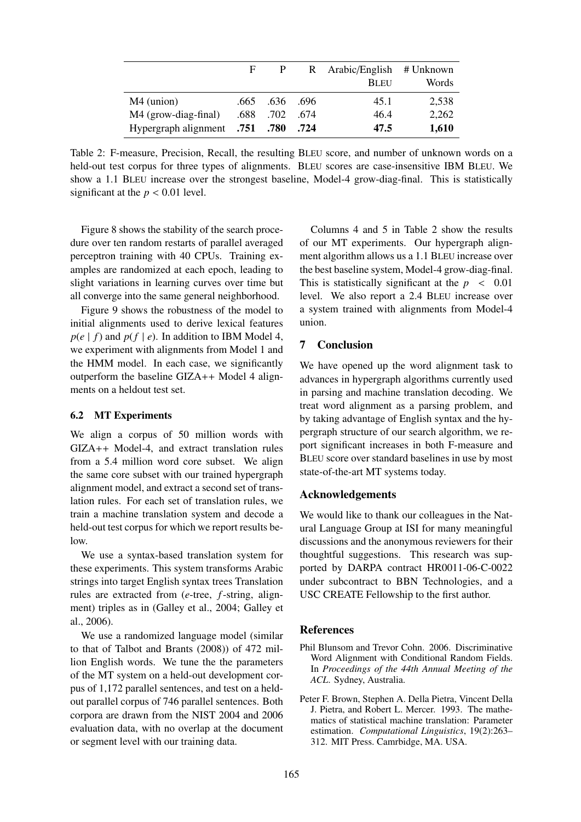|                                | F    |            |      | R Arabic/English # Unknown |       |
|--------------------------------|------|------------|------|----------------------------|-------|
|                                |      |            |      | <b>BLEU</b>                | Words |
| $M4$ (union)                   | .665 | .636. .696 |      | 45.1                       | 2,538 |
| M4 (grow-diag-final)           | .688 | .702       | .674 | 46.4                       | 2,262 |
| Hypergraph alignment .751 .780 |      |            | .724 | 47.5                       | 1,610 |

Table 2: F-measure, Precision, Recall, the resulting BLEU score, and number of unknown words on a held-out test corpus for three types of alignments. BLEU scores are case-insensitive IBM BLEU. We show a 1.1 BLEU increase over the strongest baseline, Model-4 grow-diag-final. This is statistically significant at the  $p < 0.01$  level.

Figure 8 shows the stability of the search procedure over ten random restarts of parallel averaged perceptron training with 40 CPUs. Training examples are randomized at each epoch, leading to slight variations in learning curves over time but all converge into the same general neighborhood.

Figure 9 shows the robustness of the model to initial alignments used to derive lexical features  $p(e | f)$  and  $p(f | e)$ . In addition to IBM Model 4, we experiment with alignments from Model 1 and the HMM model. In each case, we significantly outperform the baseline GIZA++ Model 4 alignments on a heldout test set.

#### 6.2 MT Experiments

We align a corpus of 50 million words with GIZA++ Model-4, and extract translation rules from a 5.4 million word core subset. We align the same core subset with our trained hypergraph alignment model, and extract a second set of translation rules. For each set of translation rules, we train a machine translation system and decode a held-out test corpus for which we report results below.

We use a syntax-based translation system for these experiments. This system transforms Arabic strings into target English syntax trees Translation rules are extracted from (*e*-tree, *f*-string, alignment) triples as in (Galley et al., 2004; Galley et al., 2006).

We use a randomized language model (similar to that of Talbot and Brants (2008)) of 472 million English words. We tune the the parameters of the MT system on a held-out development corpus of 1,172 parallel sentences, and test on a heldout parallel corpus of 746 parallel sentences. Both corpora are drawn from the NIST 2004 and 2006 evaluation data, with no overlap at the document or segment level with our training data.

Columns 4 and 5 in Table 2 show the results of our MT experiments. Our hypergraph alignment algorithm allows us a 1.1 BLEU increase over the best baseline system, Model-4 grow-diag-final. This is statistically significant at the  $p \leq 0.01$ level. We also report a 2.4 BLEU increase over a system trained with alignments from Model-4 union.

#### 7 Conclusion

We have opened up the word alignment task to advances in hypergraph algorithms currently used in parsing and machine translation decoding. We treat word alignment as a parsing problem, and by taking advantage of English syntax and the hypergraph structure of our search algorithm, we report significant increases in both F-measure and BLEU score over standard baselines in use by most state-of-the-art MT systems today.

#### Acknowledgements

We would like to thank our colleagues in the Natural Language Group at ISI for many meaningful discussions and the anonymous reviewers for their thoughtful suggestions. This research was supported by DARPA contract HR0011-06-C-0022 under subcontract to BBN Technologies, and a USC CREATE Fellowship to the first author.

#### References

- Phil Blunsom and Trevor Cohn. 2006. Discriminative Word Alignment with Conditional Random Fields. In *Proceedings of the 44th Annual Meeting of the ACL*. Sydney, Australia.
- Peter F. Brown, Stephen A. Della Pietra, Vincent Della J. Pietra, and Robert L. Mercer. 1993. The mathematics of statistical machine translation: Parameter estimation. *Computational Linguistics*, 19(2):263– 312. MIT Press. Camrbidge, MA. USA.